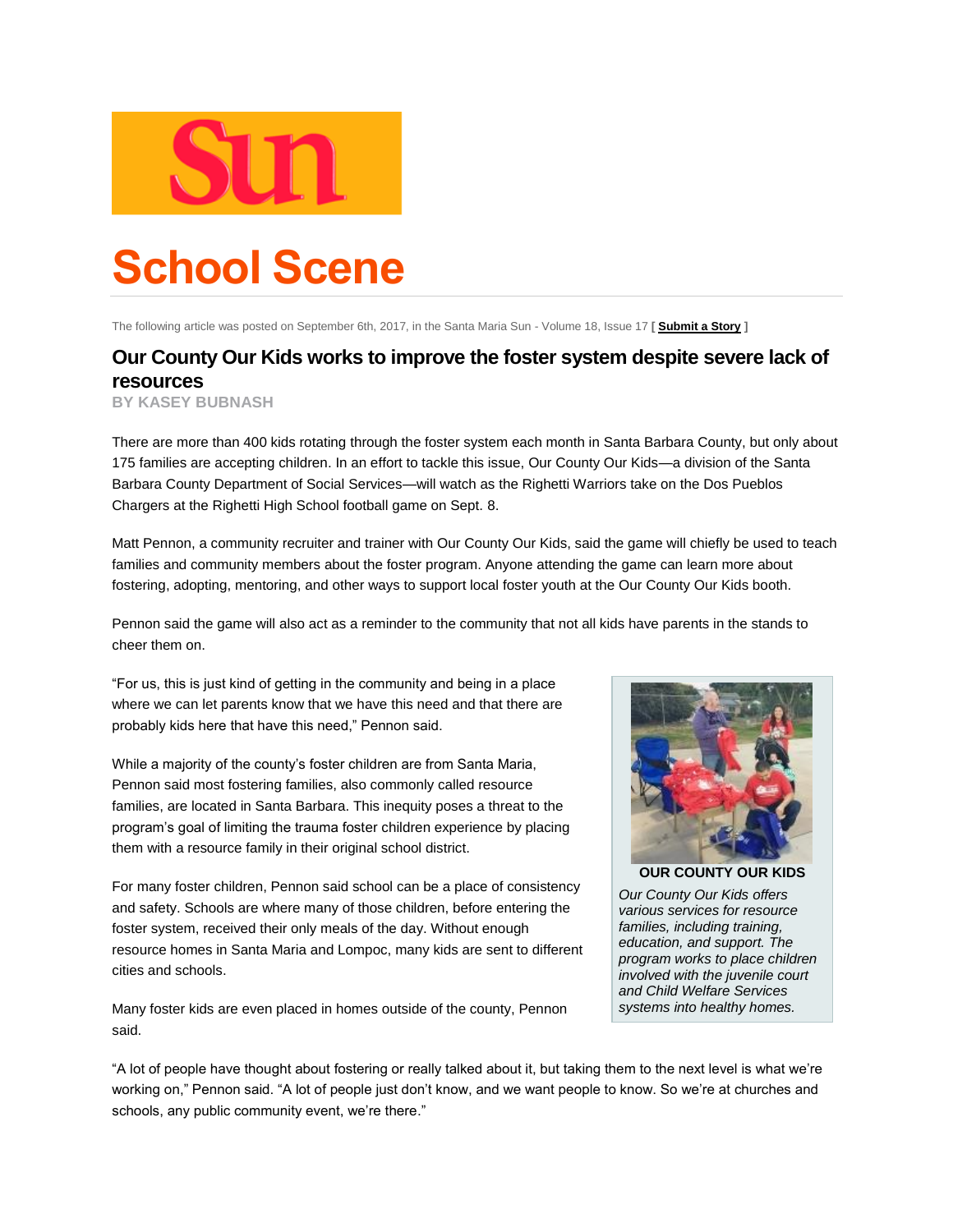

## **School Scene**

The following article was posted on September 6th, 2017, in the Santa Maria Sun - Volume 18, Issue 17 **[ [Submit a Story](http://www.santamariasun.com/submit_story.php) ]**

## **Our County Our Kids works to improve the foster system despite severe lack of resources**

**BY KASEY BUBNASH**

There are more than 400 kids rotating through the foster system each month in Santa Barbara County, but only about 175 families are accepting children. In an effort to tackle this issue, Our County Our Kids—a division of the Santa Barbara County Department of Social Services—will watch as the Righetti Warriors take on the Dos Pueblos Chargers at the Righetti High School football game on Sept. 8.

Matt Pennon, a community recruiter and trainer with Our County Our Kids, said the game will chiefly be used to teach families and community members about the foster program. Anyone attending the game can learn more about fostering, adopting, mentoring, and other ways to support local foster youth at the Our County Our Kids booth.

Pennon said the game will also act as a reminder to the community that not all kids have parents in the stands to cheer them on.

"For us, this is just kind of getting in the community and being in a place where we can let parents know that we have this need and that there are probably kids here that have this need," Pennon said.

While a majority of the county's foster children are from Santa Maria, Pennon said most fostering families, also commonly called resource families, are located in Santa Barbara. This inequity poses a threat to the program's goal of limiting the trauma foster children experience by placing them with a resource family in their original school district.

For many foster children, Pennon said school can be a place of consistency and safety. Schools are where many of those children, before entering the foster system, received their only meals of the day. Without enough resource homes in Santa Maria and Lompoc, many kids are sent to different cities and schools.

Many foster kids are even placed in homes outside of the county, Pennon said.



**OUR COUNTY OUR KIDS** *Our County Our Kids offers various services for resource families, including training, education, and support. The program works to place children involved with the juvenile court and Child Welfare Services systems into healthy homes.*

"A lot of people have thought about fostering or really talked about it, but taking them to the next level is what we're working on," Pennon said. "A lot of people just don't know, and we want people to know. So we're at churches and schools, any public community event, we're there."